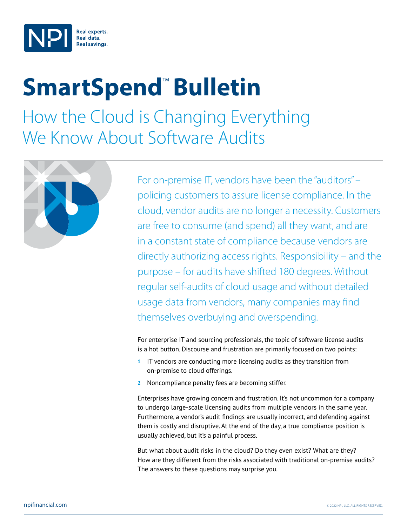

## **SmartSpend<sup>™</sup> Bulletin**

How the Cloud is Changing Everything We Know About Software Audits



For on-premise IT, vendors have been the "auditors" – policing customers to assure license compliance. In the cloud, vendor audits are no longer a necessity. Customers are free to consume (and spend) all they want, and are in a constant state of compliance because vendors are directly authorizing access rights. Responsibility – and the purpose – for audits have shifted 180 degrees. Without regular self-audits of cloud usage and without detailed usage data from vendors, many companies may find themselves overbuying and overspending.

For enterprise IT and sourcing professionals, the topic of software license audits is a hot button. Discourse and frustration are primarily focused on two points:

- **1** IT vendors are conducting more licensing audits as they transition from on-premise to cloud offerings.
- **2** Noncompliance penalty fees are becoming stiffer.

Enterprises have growing concern and frustration. It's not uncommon for a company to undergo large-scale licensing audits from multiple vendors in the same year. Furthermore, a vendor's audit findings are usually incorrect, and defending against them is costly and disruptive. At the end of the day, a true compliance position is usually achieved, but it's a painful process.

But what about audit risks in the cloud? Do they even exist? What are they? How are they different from the risks associated with traditional on-premise audits? The answers to these questions may surprise you.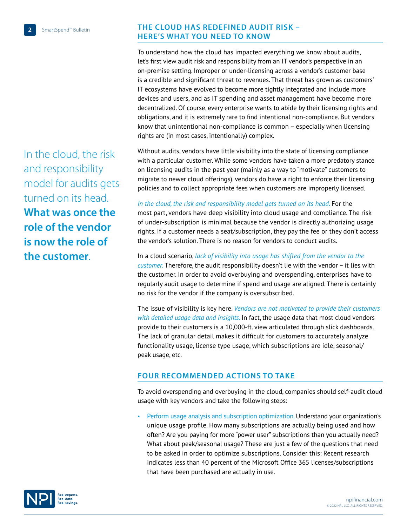## **THE CLOUD HAS REDEFINED AUDIT RISK – HERE'S WHAT YOU NEED TO KNOW**

To understand how the cloud has impacted everything we know about audits, let's first view audit risk and responsibility from an IT vendor's perspective in an on-premise setting. Improper or under-licensing across a vendor's customer base is a credible and significant threat to revenues. That threat has grown as customers' IT ecosystems have evolved to become more tightly integrated and include more devices and users, and as IT spending and asset management have become more decentralized. Of course, every enterprise wants to abide by their licensing rights and obligations, and it is extremely rare to find intentional non-compliance. But vendors know that unintentional non-compliance is common – especially when licensing rights are (in most cases, intentionally) complex.

Without audits, vendors have little visibility into the state of licensing compliance with a particular customer. While some vendors have taken a more predatory stance on licensing audits in the past year (mainly as a way to "motivate" customers to migrate to newer cloud offerings), vendors do have a right to enforce their licensing policies and to collect appropriate fees when customers are improperly licensed.

*In the cloud, the risk and responsibility model gets turned on its head*. For the most part, vendors have deep visibility into cloud usage and compliance. The risk of under-subscription is minimal because the vendor is directly authorizing usage rights. If a customer needs a seat/subscription, they pay the fee or they don't access the vendor's solution. There is no reason for vendors to conduct audits.

In a cloud scenario, *lack of visibility into usage has shifted from the vendor to the customer*. Therefore, the audit responsibility doesn't lie with the vendor – it lies with the customer. In order to avoid overbuying and overspending, enterprises have to regularly audit usage to determine if spend and usage are aligned. There is certainly no risk for the vendor if the company is oversubscribed.

The issue of visibility is key here. *Vendors are not motivated to provide their customers with detailed usage data and insights*. In fact, the usage data that most cloud vendors provide to their customers is a 10,000-ft. view articulated through slick dashboards. The lack of granular detail makes it difficult for customers to accurately analyze functionality usage, license type usage, which subscriptions are idle, seasonal/ peak usage, etc.

## **FOUR RECOMMENDED ACTIONS TO TAKE**

To avoid overspending and overbuying in the cloud, companies should self-audit cloud usage with key vendors and take the following steps:

• Perform usage analysis and subscription optimization. Understand your organization's unique usage profile. How many subscriptions are actually being used and how often? Are you paying for more "power user" subscriptions than you actually need? What about peak/seasonal usage? These are just a few of the questions that need to be asked in order to optimize subscriptions. Consider this: Recent research indicates less than 40 percent of the Microsoft Office 365 licenses/subscriptions that have been purchased are actually in use.

In the cloud, the risk and responsibility model for audits gets turned on its head. **What was once the role of the vendor is now the role of the customer**.